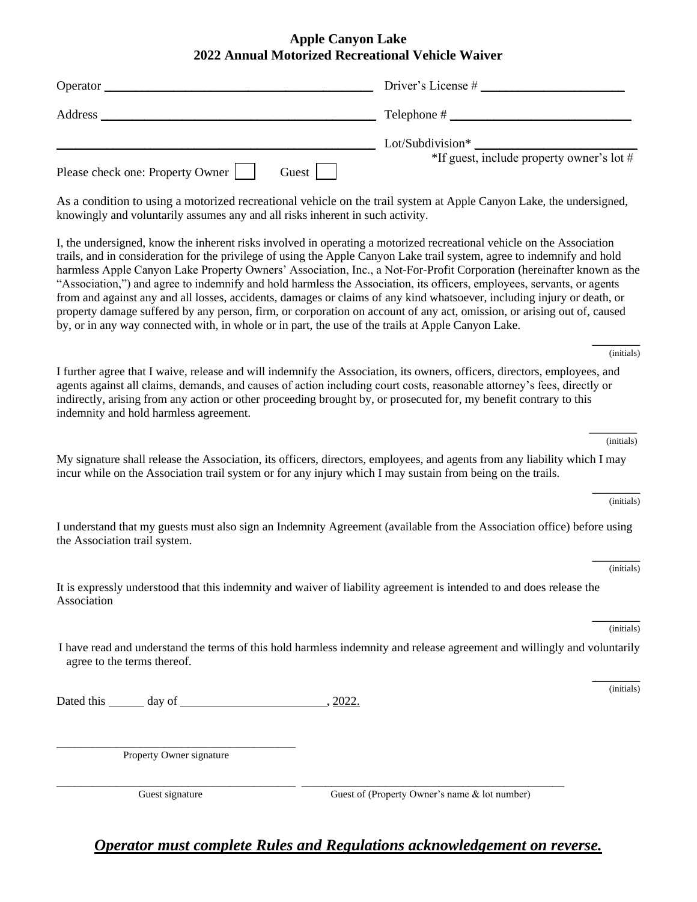## **Apple Canyon Lake 2022 Annual Motorized Recreational Vehicle Waiver**

| Operator $\mathbf{\_}$                                                                                                                                                                                                                                                                                                                                                                                                                                                                                                                                                                                                                                                                                                                                                                                                                                          |                                                                  |
|-----------------------------------------------------------------------------------------------------------------------------------------------------------------------------------------------------------------------------------------------------------------------------------------------------------------------------------------------------------------------------------------------------------------------------------------------------------------------------------------------------------------------------------------------------------------------------------------------------------------------------------------------------------------------------------------------------------------------------------------------------------------------------------------------------------------------------------------------------------------|------------------------------------------------------------------|
| <u> 2008 - Johann John Stone, mensk politik (d. 1982)</u><br>Address __                                                                                                                                                                                                                                                                                                                                                                                                                                                                                                                                                                                                                                                                                                                                                                                         |                                                                  |
| Please check one: Property Owner<br>Guest $\vert$                                                                                                                                                                                                                                                                                                                                                                                                                                                                                                                                                                                                                                                                                                                                                                                                               | Lot/Subdivision*<br>$*$ If guest, include property owner's lot # |
| As a condition to using a motorized recreational vehicle on the trail system at Apple Canyon Lake, the undersigned,<br>knowingly and voluntarily assumes any and all risks inherent in such activity.                                                                                                                                                                                                                                                                                                                                                                                                                                                                                                                                                                                                                                                           |                                                                  |
| I, the undersigned, know the inherent risks involved in operating a motorized recreational vehicle on the Association<br>trails, and in consideration for the privilege of using the Apple Canyon Lake trail system, agree to indemnify and hold<br>harmless Apple Canyon Lake Property Owners' Association, Inc., a Not-For-Profit Corporation (hereinafter known as the<br>"Association,") and agree to indemnify and hold harmless the Association, its officers, employees, servants, or agents<br>from and against any and all losses, accidents, damages or claims of any kind whatsoever, including injury or death, or<br>property damage suffered by any person, firm, or corporation on account of any act, omission, or arising out of, caused<br>by, or in any way connected with, in whole or in part, the use of the trails at Apple Canyon Lake. |                                                                  |
|                                                                                                                                                                                                                                                                                                                                                                                                                                                                                                                                                                                                                                                                                                                                                                                                                                                                 | (initials)                                                       |
| I further agree that I waive, release and will indemnify the Association, its owners, officers, directors, employees, and<br>agents against all claims, demands, and causes of action including court costs, reasonable attorney's fees, directly or<br>indirectly, arising from any action or other proceeding brought by, or prosecuted for, my benefit contrary to this<br>indemnity and hold harmless agreement.                                                                                                                                                                                                                                                                                                                                                                                                                                            |                                                                  |
|                                                                                                                                                                                                                                                                                                                                                                                                                                                                                                                                                                                                                                                                                                                                                                                                                                                                 | (initials)                                                       |
| My signature shall release the Association, its officers, directors, employees, and agents from any liability which I may<br>incur while on the Association trail system or for any injury which I may sustain from being on the trails.                                                                                                                                                                                                                                                                                                                                                                                                                                                                                                                                                                                                                        |                                                                  |
|                                                                                                                                                                                                                                                                                                                                                                                                                                                                                                                                                                                                                                                                                                                                                                                                                                                                 | (initials)                                                       |
| I understand that my guests must also sign an Indemnity Agreement (available from the Association office) before using<br>the Association trail system.                                                                                                                                                                                                                                                                                                                                                                                                                                                                                                                                                                                                                                                                                                         |                                                                  |
|                                                                                                                                                                                                                                                                                                                                                                                                                                                                                                                                                                                                                                                                                                                                                                                                                                                                 | (initials)                                                       |
| It is expressly understood that this indemnity and waiver of liability agreement is intended to and does release the<br>Association                                                                                                                                                                                                                                                                                                                                                                                                                                                                                                                                                                                                                                                                                                                             |                                                                  |
|                                                                                                                                                                                                                                                                                                                                                                                                                                                                                                                                                                                                                                                                                                                                                                                                                                                                 | (initials)                                                       |
| I have read and understand the terms of this hold harmless indemnity and release agreement and willingly and voluntarily<br>agree to the terms thereof.                                                                                                                                                                                                                                                                                                                                                                                                                                                                                                                                                                                                                                                                                                         |                                                                  |
|                                                                                                                                                                                                                                                                                                                                                                                                                                                                                                                                                                                                                                                                                                                                                                                                                                                                 | (initials)                                                       |
|                                                                                                                                                                                                                                                                                                                                                                                                                                                                                                                                                                                                                                                                                                                                                                                                                                                                 |                                                                  |
| Property Owner signature                                                                                                                                                                                                                                                                                                                                                                                                                                                                                                                                                                                                                                                                                                                                                                                                                                        |                                                                  |

\_\_\_\_\_\_\_\_\_\_\_\_\_\_\_\_\_\_\_\_\_\_\_\_\_\_\_\_\_\_\_\_\_\_\_\_\_\_\_\_ \_\_\_\_\_\_\_\_\_\_\_\_\_\_\_\_\_\_\_\_\_\_\_\_\_\_\_\_\_\_\_\_\_\_\_\_\_\_\_\_\_\_\_\_

Guest signature Guest of (Property Owner's name & lot number)

# *Operator must complete Rules and Regulations acknowledgement on reverse.*